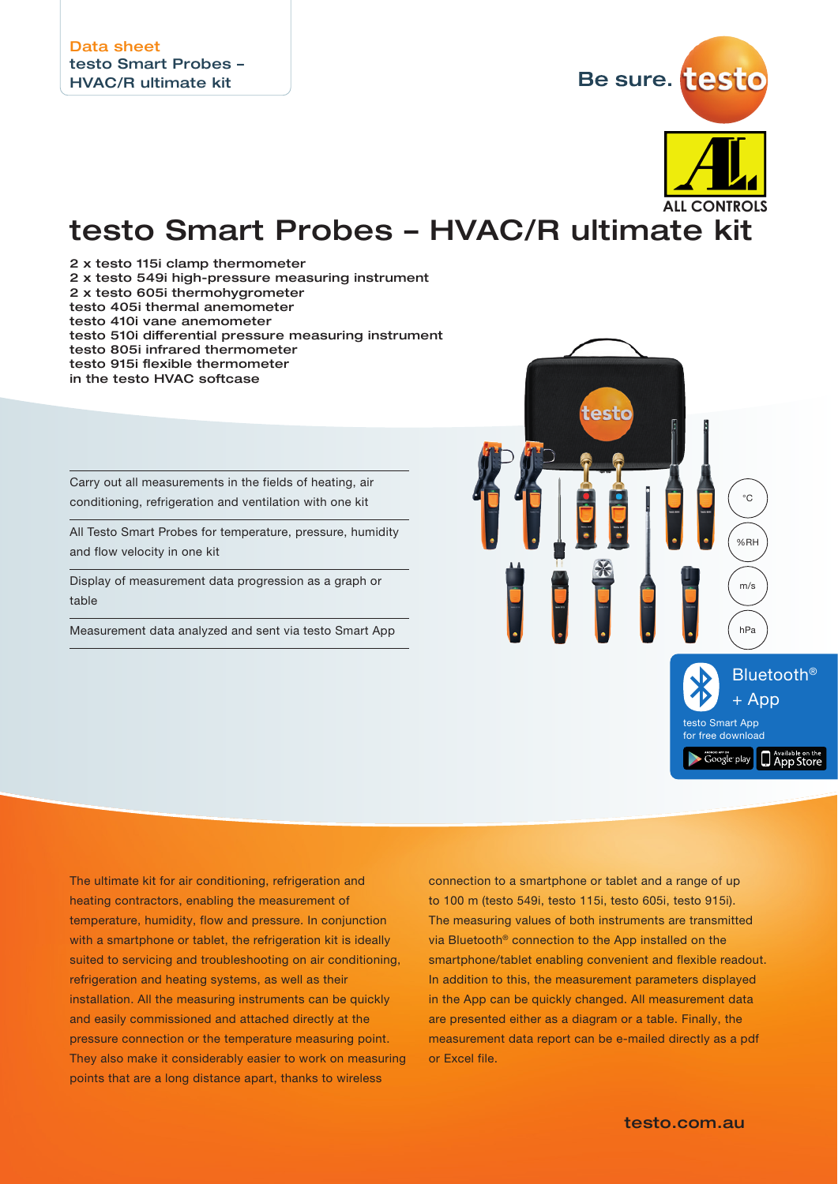

## testo Smart Probes – HVAC/R ultimate kit

2 x testo 115i clamp thermometer

- 2 x testo 549i high-pressure measuring instrument
- 2 x testo 605i thermohygrometer
- testo 405i thermal anemometer

testo 410i vane anemometer

- testo 510i differential pressure measuring instrument
- testo 805i infrared thermometer
- testo 915i flexible thermometer
- in the testo HVAC softcase

Carry out all measurements in the fields of heating, air conditioning, refrigeration and ventilation with one kit

All Testo Smart Probes for temperature, pressure, humidity and flow velocity in one kit

Display of measurement data progression as a graph or table

Measurement data analyzed and sent via testo Smart App



The ultimate kit for air conditioning, refrigeration and heating contractors, enabling the measurement of temperature, humidity, flow and pressure. In conjunction with a smartphone or tablet, the refrigeration kit is ideally suited to servicing and troubleshooting on air conditioning, refrigeration and heating systems, as well as their installation. All the measuring instruments can be quickly and easily commissioned and attached directly at the pressure connection or the temperature measuring point. They also make it considerably easier to work on measuring points that are a long distance apart, thanks to wireless

connection to a smartphone or tablet and a range of up to 100 m (testo 549i, testo 115i, testo 605i, testo 915i). The measuring values of both instruments are transmitted via Bluetooth® connection to the App installed on the smartphone/tablet enabling convenient and flexible readout. In addition to this, the measurement parameters displayed in the App can be quickly changed. All measurement data are presented either as a diagram or a table. Finally, the measurement data report can be e-mailed directly as a pdf or Excel file.